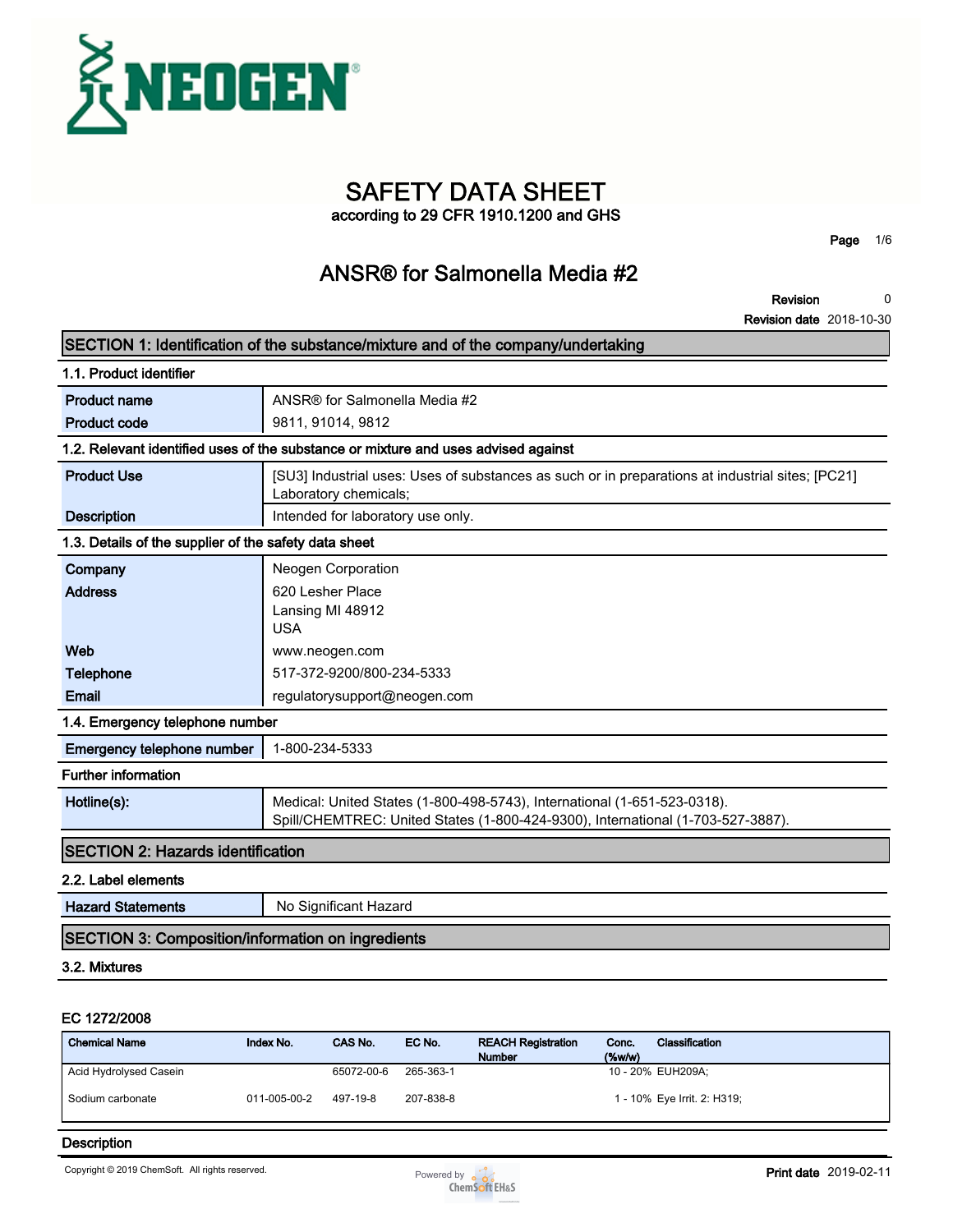

# **SAFETY DATA SHEET**

**according to 29 CFR 1910.1200 and GHS**

**Page 1/6**

### **ANSR® for Salmonella Media #2**

**Revision 0**

**Revision date 2018-10-30**

|                                                          | SECTION 1: Identification of the substance/mixture and of the company/undertaking                                                                           |
|----------------------------------------------------------|-------------------------------------------------------------------------------------------------------------------------------------------------------------|
| 1.1. Product identifier                                  |                                                                                                                                                             |
| <b>Product name</b>                                      | ANSR® for Salmonella Media #2                                                                                                                               |
| <b>Product code</b>                                      | 9811, 91014, 9812                                                                                                                                           |
|                                                          | 1.2. Relevant identified uses of the substance or mixture and uses advised against                                                                          |
| <b>Product Use</b>                                       | [SU3] Industrial uses: Uses of substances as such or in preparations at industrial sites; [PC21]<br>Laboratory chemicals;                                   |
| <b>Description</b>                                       | Intended for laboratory use only.                                                                                                                           |
| 1.3. Details of the supplier of the safety data sheet    |                                                                                                                                                             |
| Company                                                  | Neogen Corporation                                                                                                                                          |
| <b>Address</b>                                           | 620 Lesher Place<br>Lansing MI 48912<br><b>USA</b>                                                                                                          |
| Web                                                      | www.neogen.com                                                                                                                                              |
| <b>Telephone</b>                                         | 517-372-9200/800-234-5333                                                                                                                                   |
| Email                                                    | regulatorysupport@neogen.com                                                                                                                                |
| 1.4. Emergency telephone number                          |                                                                                                                                                             |
| Emergency telephone number                               | 1-800-234-5333                                                                                                                                              |
| <b>Further information</b>                               |                                                                                                                                                             |
| Hotline(s):                                              | Medical: United States (1-800-498-5743), International (1-651-523-0318).<br>Spill/CHEMTREC: United States (1-800-424-9300), International (1-703-527-3887). |
| <b>SECTION 2: Hazards identification</b>                 |                                                                                                                                                             |
| 2.2. Label elements                                      |                                                                                                                                                             |
| <b>Hazard Statements</b>                                 | No Significant Hazard                                                                                                                                       |
| <b>SECTION 3: Composition/information on ingredients</b> |                                                                                                                                                             |
| 3.2. Mixtures                                            |                                                                                                                                                             |
|                                                          |                                                                                                                                                             |

#### **EC 1272/2008**

| <b>Chemical Name</b>   | Index No.    | CAS No.    | EC No.    | <b>REACH Registration</b><br><b>Number</b> | Conc.<br>(% | Classification              |
|------------------------|--------------|------------|-----------|--------------------------------------------|-------------|-----------------------------|
| Acid Hydrolysed Casein |              | 65072-00-6 | 265-363-1 |                                            |             | 10 - 20% EUH209A:           |
| Sodium carbonate       | 011-005-00-2 | 497-19-8   | 207-838-8 |                                            |             | 1 - 10% Eye Irrit. 2: H319; |

#### **Description**

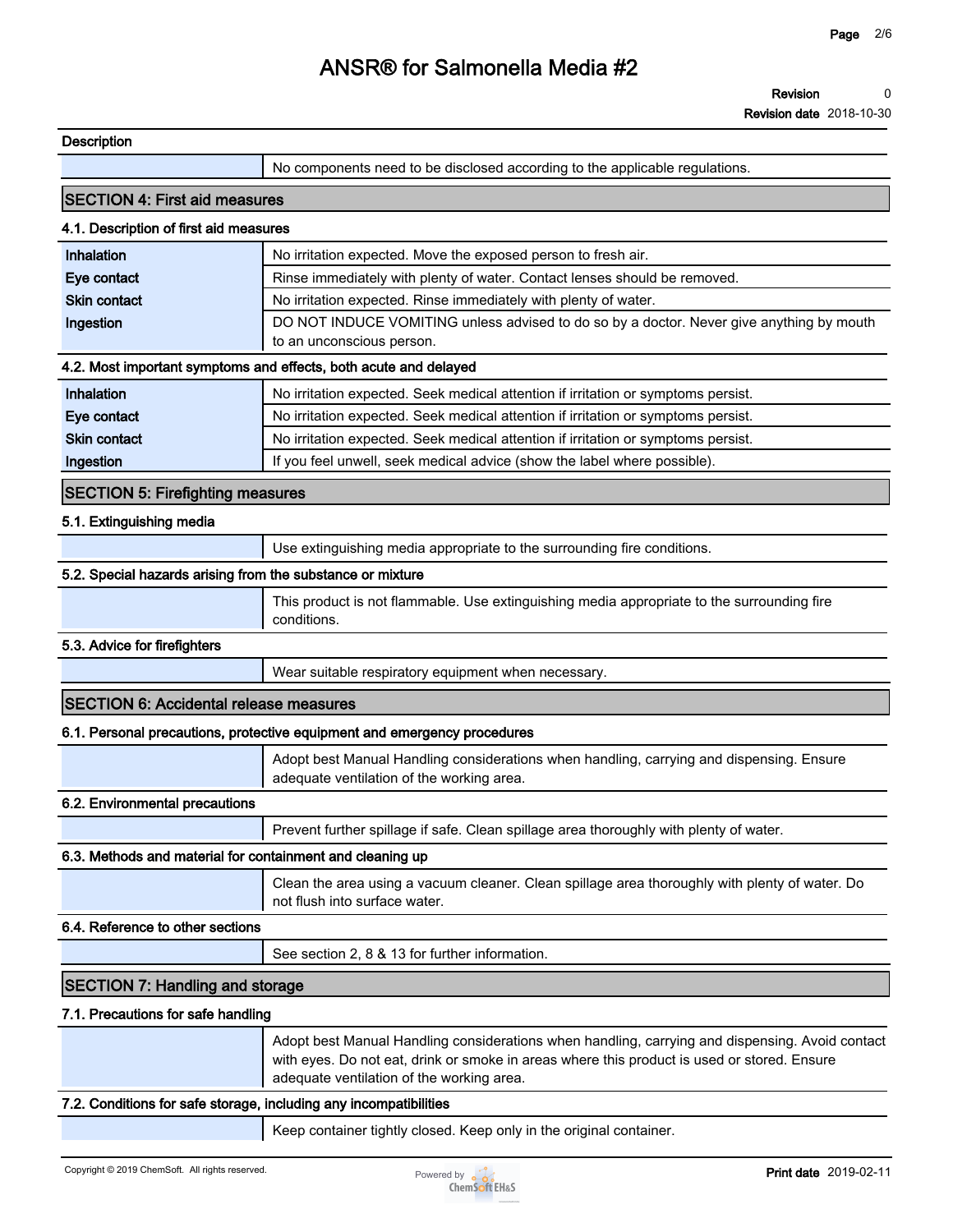**Revision date 2018-10-30**

| <b>Description</b><br>No components need to be disclosed according to the applicable regulations.<br><b>SECTION 4: First aid measures</b><br>4.1. Description of first aid measures<br>Inhalation<br>No irritation expected. Move the exposed person to fresh air.<br>Rinse immediately with plenty of water. Contact lenses should be removed.<br>Eye contact<br><b>Skin contact</b><br>No irritation expected. Rinse immediately with plenty of water. |
|----------------------------------------------------------------------------------------------------------------------------------------------------------------------------------------------------------------------------------------------------------------------------------------------------------------------------------------------------------------------------------------------------------------------------------------------------------|
|                                                                                                                                                                                                                                                                                                                                                                                                                                                          |
|                                                                                                                                                                                                                                                                                                                                                                                                                                                          |
|                                                                                                                                                                                                                                                                                                                                                                                                                                                          |
|                                                                                                                                                                                                                                                                                                                                                                                                                                                          |
|                                                                                                                                                                                                                                                                                                                                                                                                                                                          |
|                                                                                                                                                                                                                                                                                                                                                                                                                                                          |
|                                                                                                                                                                                                                                                                                                                                                                                                                                                          |
| Ingestion<br>DO NOT INDUCE VOMITING unless advised to do so by a doctor. Never give anything by mouth<br>to an unconscious person.                                                                                                                                                                                                                                                                                                                       |
| 4.2. Most important symptoms and effects, both acute and delayed                                                                                                                                                                                                                                                                                                                                                                                         |
| Inhalation<br>No irritation expected. Seek medical attention if irritation or symptoms persist.                                                                                                                                                                                                                                                                                                                                                          |
| Eye contact<br>No irritation expected. Seek medical attention if irritation or symptoms persist.                                                                                                                                                                                                                                                                                                                                                         |
| <b>Skin contact</b><br>No irritation expected. Seek medical attention if irritation or symptoms persist.                                                                                                                                                                                                                                                                                                                                                 |
| If you feel unwell, seek medical advice (show the label where possible).<br>Ingestion                                                                                                                                                                                                                                                                                                                                                                    |
| <b>SECTION 5: Firefighting measures</b>                                                                                                                                                                                                                                                                                                                                                                                                                  |
| 5.1. Extinguishing media                                                                                                                                                                                                                                                                                                                                                                                                                                 |
| Use extinguishing media appropriate to the surrounding fire conditions.                                                                                                                                                                                                                                                                                                                                                                                  |
| 5.2. Special hazards arising from the substance or mixture                                                                                                                                                                                                                                                                                                                                                                                               |
| This product is not flammable. Use extinguishing media appropriate to the surrounding fire<br>conditions.                                                                                                                                                                                                                                                                                                                                                |
| 5.3. Advice for firefighters                                                                                                                                                                                                                                                                                                                                                                                                                             |
| Wear suitable respiratory equipment when necessary.                                                                                                                                                                                                                                                                                                                                                                                                      |
| <b>SECTION 6: Accidental release measures</b>                                                                                                                                                                                                                                                                                                                                                                                                            |
| 6.1. Personal precautions, protective equipment and emergency procedures                                                                                                                                                                                                                                                                                                                                                                                 |
| Adopt best Manual Handling considerations when handling, carrying and dispensing. Ensure<br>adequate ventilation of the working area.                                                                                                                                                                                                                                                                                                                    |
| 6.2. Environmental precautions                                                                                                                                                                                                                                                                                                                                                                                                                           |
| Prevent further spillage if safe. Clean spillage area thoroughly with plenty of water.                                                                                                                                                                                                                                                                                                                                                                   |
|                                                                                                                                                                                                                                                                                                                                                                                                                                                          |
| 6.3. Methods and material for containment and cleaning up                                                                                                                                                                                                                                                                                                                                                                                                |
| Clean the area using a vacuum cleaner. Clean spillage area thoroughly with plenty of water. Do<br>not flush into surface water.                                                                                                                                                                                                                                                                                                                          |
| 6.4. Reference to other sections                                                                                                                                                                                                                                                                                                                                                                                                                         |
| See section 2, 8 & 13 for further information.                                                                                                                                                                                                                                                                                                                                                                                                           |
| <b>SECTION 7: Handling and storage</b>                                                                                                                                                                                                                                                                                                                                                                                                                   |
| 7.1. Precautions for safe handling                                                                                                                                                                                                                                                                                                                                                                                                                       |
| Adopt best Manual Handling considerations when handling, carrying and dispensing. Avoid contact<br>with eyes. Do not eat, drink or smoke in areas where this product is used or stored. Ensure<br>adequate ventilation of the working area.                                                                                                                                                                                                              |
| 7.2. Conditions for safe storage, including any incompatibilities                                                                                                                                                                                                                                                                                                                                                                                        |

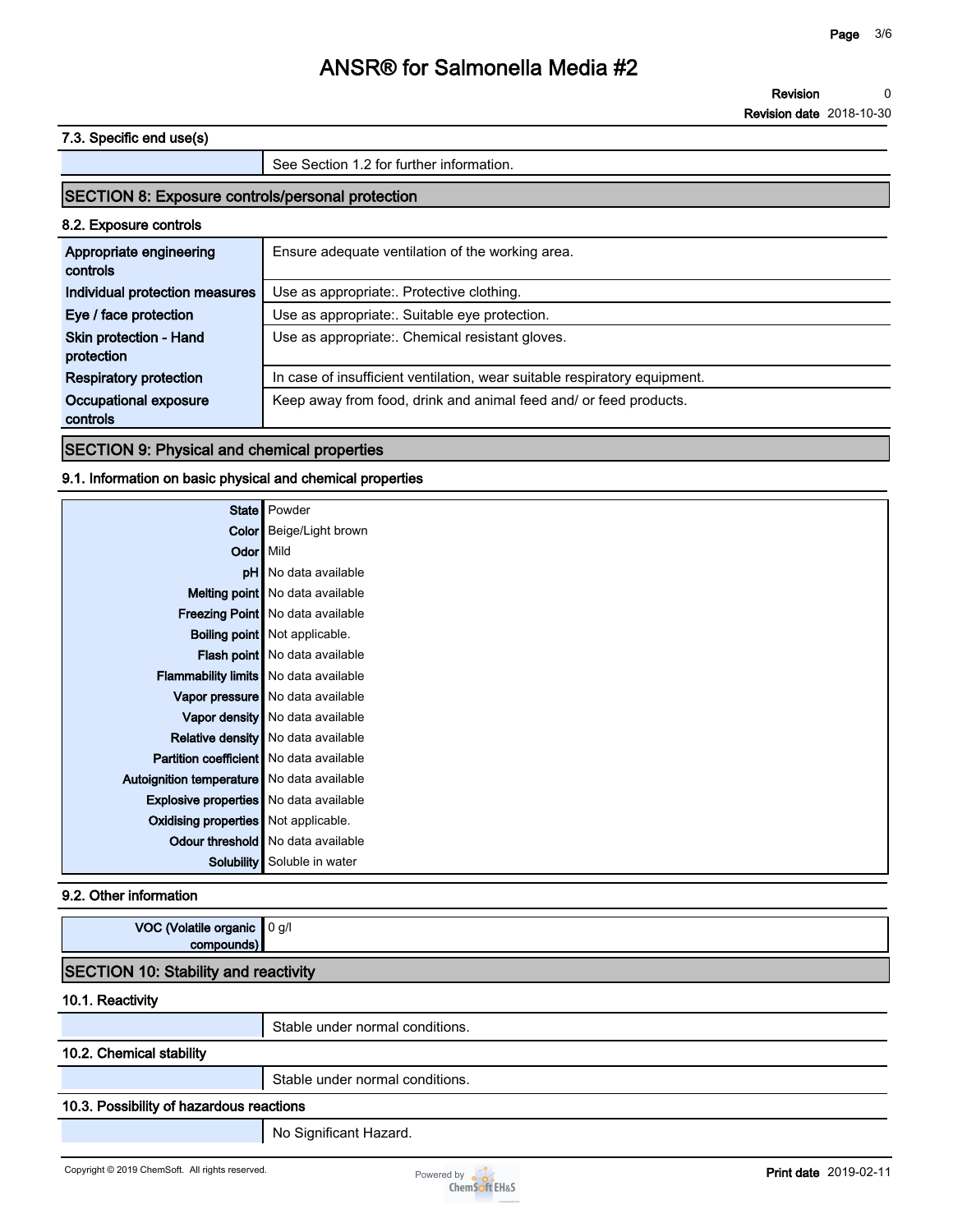**Revision 0**

**Revision date 2018-10-30**

### **7.3. Specific end use(s)**

**See Section 1.2 for further information. SECTION 8: Exposure controls/personal protection 8.2. Exposure controls Appropriate engineering controls Ensure adequate ventilation of the working area. Individual protection measures** Use as appropriate:. Protective clothing. **Eye / face protection Use as appropriate:. Suitable eye protection. Skin protection - Hand protection Use as appropriate:. Chemical resistant gloves. Respiratory protection In case of insufficient ventilation, wear suitable respiratory equipment. Occupational exposure controls Keep away from food, drink and animal feed and/ or feed products.**

### **SECTION 9: Physical and chemical properties**

### **9.1. Information on basic physical and chemical properties**

|                                                | State   Powder                           |
|------------------------------------------------|------------------------------------------|
|                                                | <b>Color</b> Beige/Light brown           |
| Odor   Mild                                    |                                          |
|                                                | pH No data available                     |
|                                                | Melting point   No data available        |
|                                                | <b>Freezing Point</b> No data available  |
|                                                | <b>Boiling point</b> Not applicable.     |
|                                                | Flash point   No data available          |
| <b>Flammability limits</b> No data available   |                                          |
|                                                | Vapor pressure No data available         |
|                                                | Vapor density   No data available        |
|                                                | Relative density   No data available     |
| <b>Partition coefficient</b> No data available |                                          |
| Autoignition temperature   No data available   |                                          |
| <b>Explosive properties</b> No data available  |                                          |
| Oxidising properties Not applicable.           |                                          |
|                                                | <b>Odour threshold</b> No data available |
| Solubility                                     | Soluble in water                         |

#### **9.2. Other information**

| VOC (Volatile organic 0 g/l<br>compounds)   |                                 |  |  |  |
|---------------------------------------------|---------------------------------|--|--|--|
| <b>SECTION 10: Stability and reactivity</b> |                                 |  |  |  |
| 10.1. Reactivity                            |                                 |  |  |  |
|                                             | Stable under normal conditions. |  |  |  |
| 10.2. Chemical stability                    |                                 |  |  |  |
|                                             | Stable under normal conditions. |  |  |  |
| 10.3. Possibility of hazardous reactions    |                                 |  |  |  |
|                                             | No Significant Hazard.          |  |  |  |

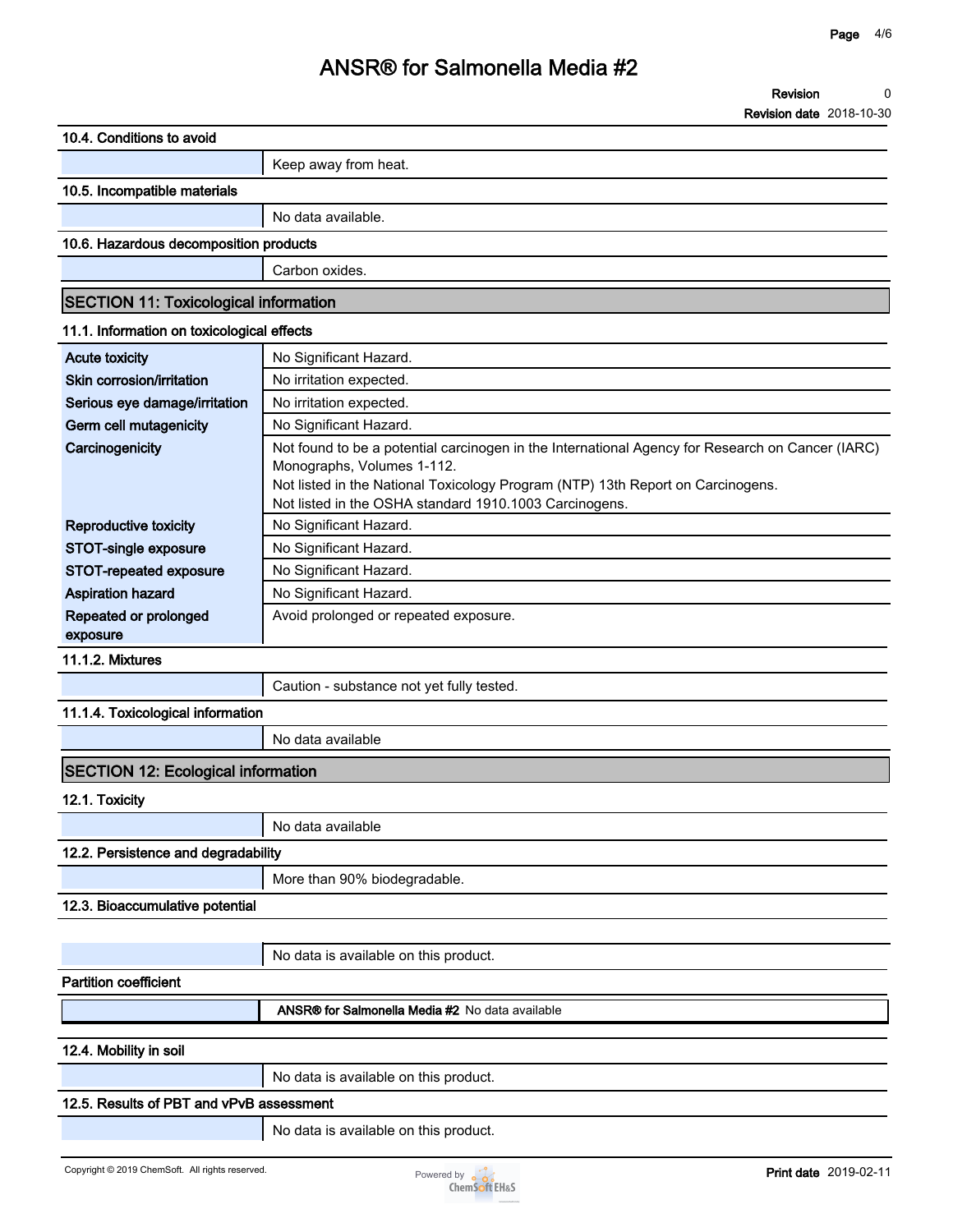**Revision date 2018-10-30**

| 10.4. Conditions to avoid                       |                                                                                                  |
|-------------------------------------------------|--------------------------------------------------------------------------------------------------|
|                                                 | Keep away from heat.                                                                             |
| 10.5. Incompatible materials                    |                                                                                                  |
|                                                 | No data available.                                                                               |
| 10.6. Hazardous decomposition products          |                                                                                                  |
|                                                 | Carbon oxides.                                                                                   |
| <b>SECTION 11: Toxicological information</b>    |                                                                                                  |
| 11.1. Information on toxicological effects      |                                                                                                  |
| <b>Acute toxicity</b>                           | No Significant Hazard.                                                                           |
| Skin corrosion/irritation                       | No irritation expected.                                                                          |
| Serious eye damage/irritation                   | No irritation expected.                                                                          |
| Germ cell mutagenicity                          | No Significant Hazard.                                                                           |
| Carcinogenicity                                 | Not found to be a potential carcinogen in the International Agency for Research on Cancer (IARC) |
|                                                 | Monographs, Volumes 1-112.                                                                       |
|                                                 | Not listed in the National Toxicology Program (NTP) 13th Report on Carcinogens.                  |
|                                                 | Not listed in the OSHA standard 1910.1003 Carcinogens.                                           |
| Reproductive toxicity                           | No Significant Hazard.                                                                           |
| STOT-single exposure                            | No Significant Hazard.                                                                           |
| STOT-repeated exposure                          | No Significant Hazard.                                                                           |
| <b>Aspiration hazard</b>                        | No Significant Hazard.                                                                           |
| Repeated or prolonged<br>exposure               | Avoid prolonged or repeated exposure.                                                            |
| <b>11.1.2. Mixtures</b>                         |                                                                                                  |
|                                                 | Caution - substance not yet fully tested.                                                        |
| 11.1.4. Toxicological information               |                                                                                                  |
|                                                 | No data available                                                                                |
| <b>SECTION 12: Ecological information</b>       |                                                                                                  |
| 12.1. Toxicity                                  |                                                                                                  |
|                                                 | No data available                                                                                |
| 12.2. Persistence and degradability             |                                                                                                  |
|                                                 | More than 90% biodegradable.                                                                     |
| 12.3. Bioaccumulative potential                 |                                                                                                  |
|                                                 |                                                                                                  |
|                                                 | No data is available on this product.                                                            |
| <b>Partition coefficient</b>                    |                                                                                                  |
|                                                 | ANSR® for Salmonella Media #2 No data available                                                  |
| 12.4. Mobility in soil                          |                                                                                                  |
|                                                 | No data is available on this product.                                                            |
| 12.5. Results of PBT and vPvB assessment        |                                                                                                  |
|                                                 | No data is available on this product.                                                            |
| Copyright © 2019 ChemSoft. All rights reserved. | <b>Print date 2019-02-11</b><br>Powered by <b>o</b> o o<br><b>ChemSoft EH&amp;S</b>              |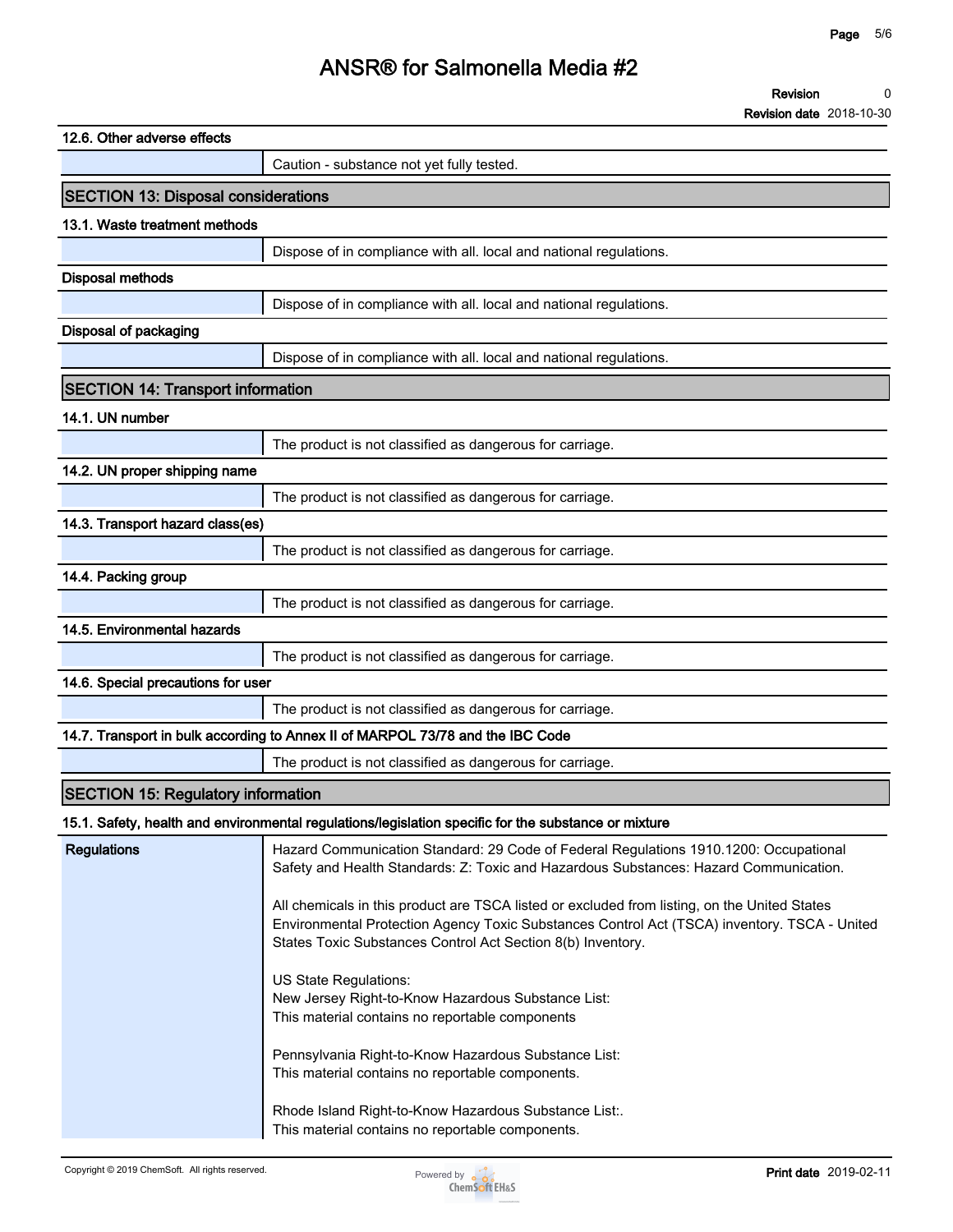| 12.6. Other adverse effects                |                                                                                                                                                                                                                                                             |
|--------------------------------------------|-------------------------------------------------------------------------------------------------------------------------------------------------------------------------------------------------------------------------------------------------------------|
|                                            | Caution - substance not yet fully tested.                                                                                                                                                                                                                   |
| <b>SECTION 13: Disposal considerations</b> |                                                                                                                                                                                                                                                             |
| 13.1. Waste treatment methods              |                                                                                                                                                                                                                                                             |
|                                            | Dispose of in compliance with all. local and national regulations.                                                                                                                                                                                          |
| <b>Disposal methods</b>                    |                                                                                                                                                                                                                                                             |
|                                            | Dispose of in compliance with all. local and national regulations.                                                                                                                                                                                          |
| <b>Disposal of packaging</b>               |                                                                                                                                                                                                                                                             |
|                                            | Dispose of in compliance with all. local and national regulations.                                                                                                                                                                                          |
| <b>SECTION 14: Transport information</b>   |                                                                                                                                                                                                                                                             |
| 14.1. UN number                            |                                                                                                                                                                                                                                                             |
|                                            | The product is not classified as dangerous for carriage.                                                                                                                                                                                                    |
| 14.2. UN proper shipping name              |                                                                                                                                                                                                                                                             |
|                                            | The product is not classified as dangerous for carriage.                                                                                                                                                                                                    |
| 14.3. Transport hazard class(es)           |                                                                                                                                                                                                                                                             |
|                                            | The product is not classified as dangerous for carriage.                                                                                                                                                                                                    |
| 14.4. Packing group                        |                                                                                                                                                                                                                                                             |
|                                            | The product is not classified as dangerous for carriage.                                                                                                                                                                                                    |
| 14.5. Environmental hazards                |                                                                                                                                                                                                                                                             |
|                                            | The product is not classified as dangerous for carriage.                                                                                                                                                                                                    |
| 14.6. Special precautions for user         |                                                                                                                                                                                                                                                             |
|                                            | The product is not classified as dangerous for carriage.                                                                                                                                                                                                    |
|                                            | 14.7. Transport in bulk according to Annex II of MARPOL 73/78 and the IBC Code                                                                                                                                                                              |
|                                            | The product is not classified as dangerous for carriage.                                                                                                                                                                                                    |
| <b>SECTION 15: Regulatory information</b>  |                                                                                                                                                                                                                                                             |
|                                            | 15.1. Safety, health and environmental regulations/legislation specific for the substance or mixture                                                                                                                                                        |
| <b>Regulations</b>                         | Hazard Communication Standard: 29 Code of Federal Regulations 1910.1200: Occupational<br>Safety and Health Standards: Z: Toxic and Hazardous Substances: Hazard Communication.                                                                              |
|                                            | All chemicals in this product are TSCA listed or excluded from listing, on the United States<br>Environmental Protection Agency Toxic Substances Control Act (TSCA) inventory. TSCA - United<br>States Toxic Substances Control Act Section 8(b) Inventory. |
|                                            | US State Regulations:<br>New Jersey Right-to-Know Hazardous Substance List:<br>This material contains no reportable components                                                                                                                              |
|                                            | Pennsylvania Right-to-Know Hazardous Substance List:<br>This material contains no reportable components.                                                                                                                                                    |
|                                            | Rhode Island Right-to-Know Hazardous Substance List:.<br>This material contains no reportable components.                                                                                                                                                   |